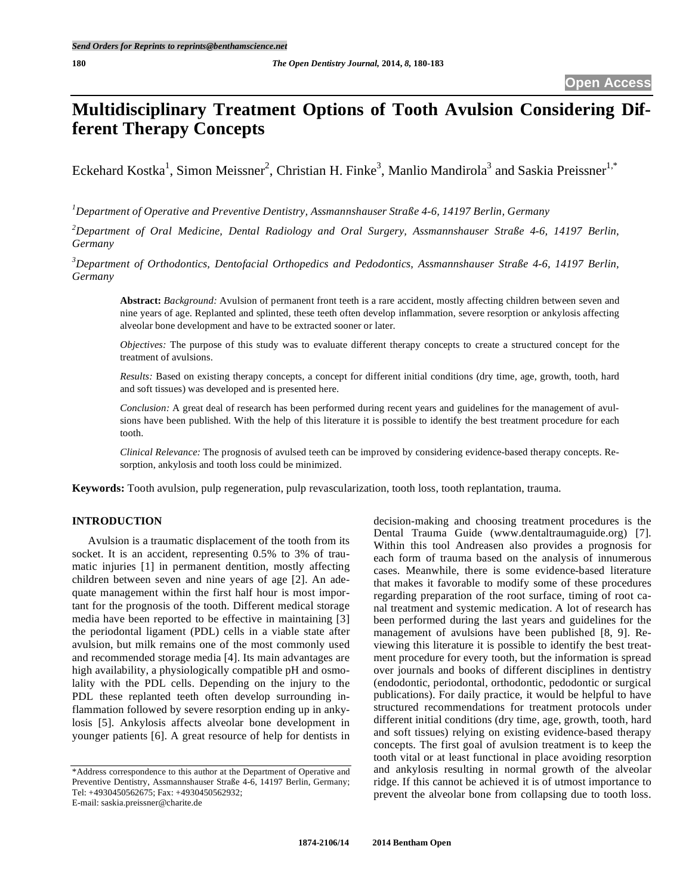# **Multidisciplinary Treatment Options of Tooth Avulsion Considering Different Therapy Concepts**

Eckehard Kostka<sup>1</sup>, Simon Meissner<sup>2</sup>, Christian H. Finke<sup>3</sup>, Manlio Mandirola<sup>3</sup> and Saskia Preissner<sup>1,\*</sup>

*1 Department of Operative and Preventive Dentistry, Assmannshauser Straße 4-6, 14197 Berlin, Germany* 

*2 Department of Oral Medicine, Dental Radiology and Oral Surgery, Assmannshauser Straße 4-6, 14197 Berlin, Germany* 

*3 Department of Orthodontics, Dentofacial Orthopedics and Pedodontics, Assmannshauser Straße 4-6, 14197 Berlin, Germany* 

**Abstract:** *Background:* Avulsion of permanent front teeth is a rare accident, mostly affecting children between seven and nine years of age. Replanted and splinted, these teeth often develop inflammation, severe resorption or ankylosis affecting alveolar bone development and have to be extracted sooner or later.

*Objectives:* The purpose of this study was to evaluate different therapy concepts to create a structured concept for the treatment of avulsions.

*Results:* Based on existing therapy concepts, a concept for different initial conditions (dry time, age, growth, tooth, hard and soft tissues) was developed and is presented here.

*Conclusion:* A great deal of research has been performed during recent years and guidelines for the management of avulsions have been published. With the help of this literature it is possible to identify the best treatment procedure for each tooth.

*Clinical Relevance:* The prognosis of avulsed teeth can be improved by considering evidence-based therapy concepts. Resorption, ankylosis and tooth loss could be minimized.

**Keywords:** Tooth avulsion, pulp regeneration, pulp revascularization, tooth loss, tooth replantation, trauma.

# **INTRODUCTION**

Avulsion is a traumatic displacement of the tooth from its socket. It is an accident, representing 0.5% to 3% of traumatic injuries [1] in permanent dentition, mostly affecting children between seven and nine years of age [2]. An adequate management within the first half hour is most important for the prognosis of the tooth. Different medical storage media have been reported to be effective in maintaining [3] the periodontal ligament (PDL) cells in a viable state after avulsion, but milk remains one of the most commonly used and recommended storage media [4]. Its main advantages are high availability, a physiologically compatible pH and osmolality with the PDL cells. Depending on the injury to the PDL these replanted teeth often develop surrounding inflammation followed by severe resorption ending up in ankylosis [5]. Ankylosis affects alveolar bone development in younger patients [6]. A great resource of help for dentists in

\*Address correspondence to this author at the Department of Operative and Preventive Dentistry, Assmannshauser Straße 4-6, 14197 Berlin, Germany; Tel: +4930450562675; Fax: +4930450562932;

E-mail: saskia.preissner@charite.de

decision-making and choosing treatment procedures is the Dental Trauma Guide (www.dentaltraumaguide.org) [7]. Within this tool Andreasen also provides a prognosis for each form of trauma based on the analysis of innumerous cases. Meanwhile, there is some evidence-based literature that makes it favorable to modify some of these procedures regarding preparation of the root surface, timing of root canal treatment and systemic medication. A lot of research has been performed during the last years and guidelines for the management of avulsions have been published [8, 9]. Reviewing this literature it is possible to identify the best treatment procedure for every tooth, but the information is spread over journals and books of different disciplines in dentistry (endodontic, periodontal, orthodontic, pedodontic or surgical publications). For daily practice, it would be helpful to have structured recommendations for treatment protocols under different initial conditions (dry time, age, growth, tooth, hard and soft tissues) relying on existing evidence-based therapy concepts. The first goal of avulsion treatment is to keep the tooth vital or at least functional in place avoiding resorption and ankylosis resulting in normal growth of the alveolar ridge. If this cannot be achieved it is of utmost importance to prevent the alveolar bone from collapsing due to tooth loss.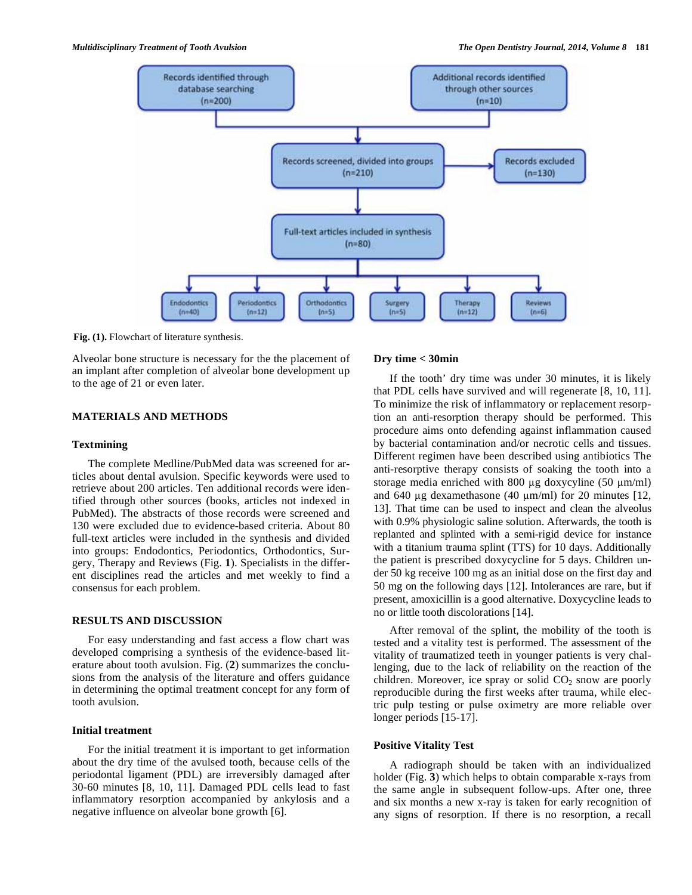

**Fig. (1).** Flowchart of literature synthesis.

Alveolar bone structure is necessary for the the placement of an implant after completion of alveolar bone development up to the age of 21 or even later.

# **MATERIALS AND METHODS**

#### **Textmining**

The complete Medline/PubMed data was screened for articles about dental avulsion. Specific keywords were used to retrieve about 200 articles. Ten additional records were identified through other sources (books, articles not indexed in PubMed). The abstracts of those records were screened and 130 were excluded due to evidence-based criteria. About 80 full-text articles were included in the synthesis and divided into groups: Endodontics, Periodontics, Orthodontics, Surgery, Therapy and Reviews (Fig. **1**). Specialists in the different disciplines read the articles and met weekly to find a consensus for each problem.

## **RESULTS AND DISCUSSION**

For easy understanding and fast access a flow chart was developed comprising a synthesis of the evidence-based literature about tooth avulsion. Fig. (**2**) summarizes the conclusions from the analysis of the literature and offers guidance in determining the optimal treatment concept for any form of tooth avulsion.

#### **Initial treatment**

For the initial treatment it is important to get information about the dry time of the avulsed tooth, because cells of the periodontal ligament (PDL) are irreversibly damaged after 30-60 minutes [8, 10, 11]. Damaged PDL cells lead to fast inflammatory resorption accompanied by ankylosis and a negative influence on alveolar bone growth [6].

## **Dry time < 30min**

If the tooth' dry time was under 30 minutes, it is likely that PDL cells have survived and will regenerate [8, 10, 11]. To minimize the risk of inflammatory or replacement resorption an anti-resorption therapy should be performed. This procedure aims onto defending against inflammation caused by bacterial contamination and/or necrotic cells and tissues. Different regimen have been described using antibiotics The anti-resorptive therapy consists of soaking the tooth into a storage media enriched with 800  $\mu$ g doxycyline (50  $\mu$ m/ml) and 640 µg dexamethasone (40  $\mu$ m/ml) for 20 minutes [12, 13]. That time can be used to inspect and clean the alveolus with 0.9% physiologic saline solution. Afterwards, the tooth is replanted and splinted with a semi-rigid device for instance with a titanium trauma splint (TTS) for 10 days. Additionally the patient is prescribed doxycycline for 5 days. Children under 50 kg receive 100 mg as an initial dose on the first day and 50 mg on the following days [12]. Intolerances are rare, but if present, amoxicillin is a good alternative. Doxycycline leads to no or little tooth discolorations [14].

After removal of the splint, the mobility of the tooth is tested and a vitality test is performed. The assessment of the vitality of traumatized teeth in younger patients is very challenging, due to the lack of reliability on the reaction of the children. Moreover, ice spray or solid  $CO<sub>2</sub>$  snow are poorly reproducible during the first weeks after trauma, while electric pulp testing or pulse oximetry are more reliable over longer periods [15-17].

## **Positive Vitality Test**

A radiograph should be taken with an individualized holder (Fig. **3**) which helps to obtain comparable x-rays from the same angle in subsequent follow-ups. After one, three and six months a new x-ray is taken for early recognition of any signs of resorption. If there is no resorption, a recall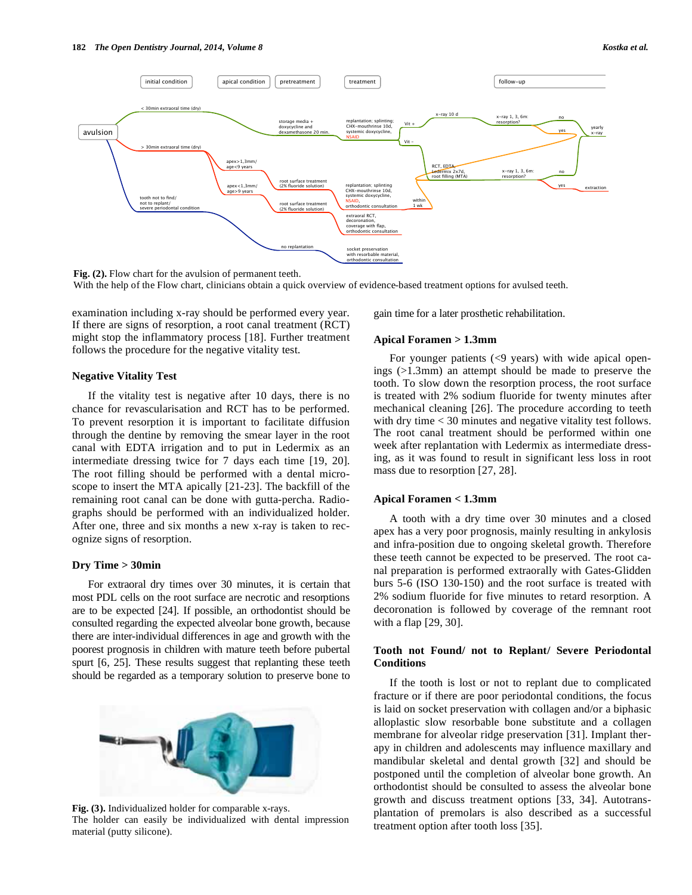

**Fig. (2).** Flow chart for the avulsion of permanent teeth. With the help of the Flow chart, clinicians obtain a quick overview of evidence-based treatment options for avulsed teeth.

examination including x-ray should be performed every year. If there are signs of resorption, a root canal treatment (RCT) might stop the inflammatory process [18]. Further treatment follows the procedure for the negative vitality test.

#### **Negative Vitality Test**

If the vitality test is negative after 10 days, there is no chance for revascularisation and RCT has to be performed. To prevent resorption it is important to facilitate diffusion through the dentine by removing the smear layer in the root canal with EDTA irrigation and to put in Ledermix as an intermediate dressing twice for 7 days each time [19, 20]. The root filling should be performed with a dental microscope to insert the MTA apically [21-23]. The backfill of the remaining root canal can be done with gutta-percha. Radiographs should be performed with an individualized holder. After one, three and six months a new x-ray is taken to recognize signs of resorption.

#### **Dry Time > 30min**

For extraoral dry times over 30 minutes, it is certain that most PDL cells on the root surface are necrotic and resorptions are to be expected [24]. If possible, an orthodontist should be consulted regarding the expected alveolar bone growth, because there are inter-individual differences in age and growth with the poorest prognosis in children with mature teeth before pubertal spurt [6, 25]. These results suggest that replanting these teeth should be regarded as a temporary solution to preserve bone to



**Fig. (3).** Individualized holder for comparable x-rays. The holder can easily be individualized with dental impression material (putty silicone).

gain time for a later prosthetic rehabilitation.

#### **Apical Foramen > 1.3mm**

For younger patients  $(\leq 9$  years) with wide apical openings (>1.3mm) an attempt should be made to preserve the tooth. To slow down the resorption process, the root surface is treated with 2% sodium fluoride for twenty minutes after mechanical cleaning [26]. The procedure according to teeth with dry time  $<$  30 minutes and negative vitality test follows. The root canal treatment should be performed within one week after replantation with Ledermix as intermediate dressing, as it was found to result in significant less loss in root mass due to resorption [27, 28].

#### **Apical Foramen < 1.3mm**

A tooth with a dry time over 30 minutes and a closed apex has a very poor prognosis, mainly resulting in ankylosis and infra-position due to ongoing skeletal growth. Therefore these teeth cannot be expected to be preserved. The root canal preparation is performed extraorally with Gates-Glidden burs 5-6 (ISO 130-150) and the root surface is treated with 2% sodium fluoride for five minutes to retard resorption. A decoronation is followed by coverage of the remnant root with a flap [29, 30].

## **Tooth not Found/ not to Replant/ Severe Periodontal Conditions**

If the tooth is lost or not to replant due to complicated fracture or if there are poor periodontal conditions, the focus is laid on socket preservation with collagen and/or a biphasic alloplastic slow resorbable bone substitute and a collagen membrane for alveolar ridge preservation [31]. Implant therapy in children and adolescents may influence maxillary and mandibular skeletal and dental growth [32] and should be postponed until the completion of alveolar bone growth. An orthodontist should be consulted to assess the alveolar bone growth and discuss treatment options [33, 34]. Autotransplantation of premolars is also described as a successful treatment option after tooth loss [35].